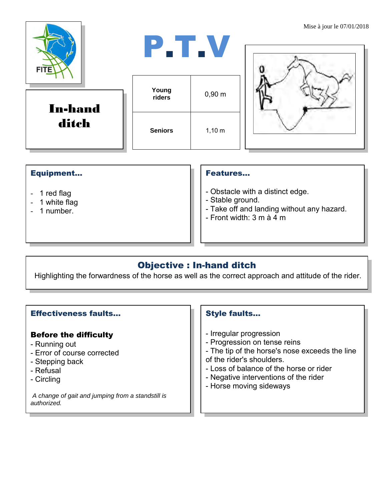| <b>FITE</b>             | P.T.V           |             | Mise à jour le $07/01/201$ |
|-------------------------|-----------------|-------------|----------------------------|
| <b>In-hand</b><br>ditch | Young<br>riders | $0,90 \; m$ |                            |
|                         | <b>Seniors</b>  | 1,10 m      |                            |

### Equipment...

- 1 red flag
- 1 white flag
- 1 number.

#### Features…

- Obstacle with a distinct edge.
- Stable ground.
- Take off and landing without any hazard.
- Front width:  $3 \text{ m}$  à  $4 \text{ m}$

# Objective : In-hand ditch

Highlighting the forwardness of the horse as well as the correct approach and attitude of the rider.

#### Effectiveness faults…

### Before the difficulty

- Running out
- Error of course corrected
- Stepping back
- Refusal
- Circling

*A change of gait and jumping from a standstill is authorized.*

## Style faults…

- Irregular progression
- Progression on tense reins
- The tip of the horse's nose exceeds the line of the rider's shoulders.
- Loss of balance of the horse or rider
- Negative interventions of the rider
- Horse moving sideways